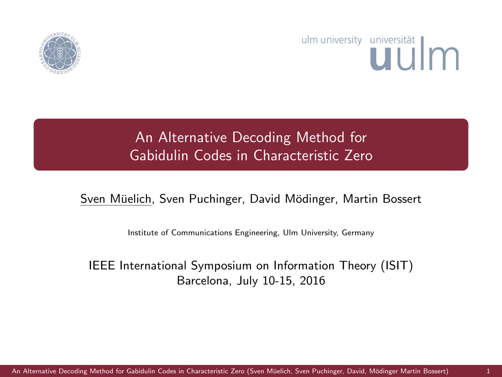

# ulm university universität uulm

# An Alternative Decoding Method for Gabidulin Codes in Characteristic Zero

### Sven Müelich, Sven Puchinger, David Mödinger, Martin Bossert

<span id="page-0-0"></span>Institute of Communications Engineering, Ulm University, Germany

#### IEEE International Symposium on Information Theory (ISIT) Barcelona, July 10-15, 2016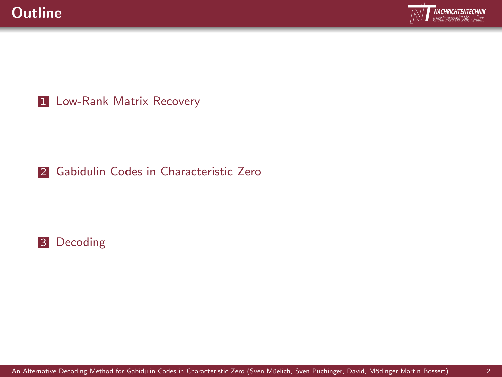

1 [Low-Rank Matrix Recovery](#page-2-0)

### 2 [Gabidulin Codes in Characteristic Zero](#page-3-0)

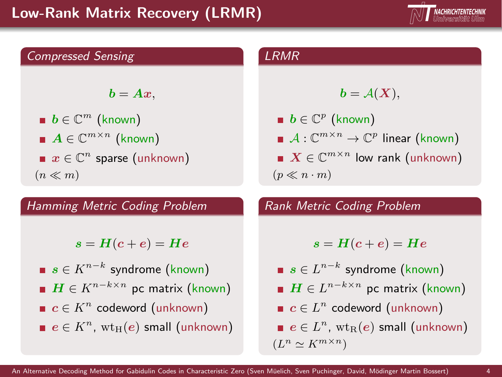# Low-Rank Matrix Recovery (LRMR)





 $\mathbf{b} = \mathbf{A}\mathbf{x}$ .

 $\bm{b} \in \mathbb{C}^m$  (known)  $A\in\mathbb{C}^{m\times n}$  (known)  $x \in \mathbb{C}^n$  sparse (unknown)  $(n \ll m)$ 

#### Hamming Metric Coding Problem

 $s = H(c + e) = He$ 

 $s \in K^{n-k}$  syndrome (known)  $\boldsymbol{H} \in K^{n-k \times n}$  pc matrix (known)  $c \in K^n$  codeword (unknown)  $e \in K^n$ ,  $\text{wt}_\text{H}(e)$  small (unknown)

#### LRMR

$$
\mathbf{b}=\mathcal{A}(\mathbf{X}),
$$

 $\boldsymbol{b}\in\mathbb{C}^{p}$  (known)  $\mathcal{A}:\mathbb{C}^{m\times n}\rightarrow\mathbb{C}^p$  linear (known)  $X \in \mathbb{C}^{m \times n}$  low rank (unknown)  $(p \ll n \cdot m)$ 

Rank Metric Coding Problem

$$
s = H(c + e) = He
$$

- $s \in L^{n-k}$  syndrome (known)
- $\boldsymbol{H}\in L^{n-k\times n}$  pc matrix (known)
- $c \in L^n$  codeword (unknown)
- <span id="page-2-0"></span> $e \in L^n$ ,  $\text{wt}_{\text{R}}(e)$  small (unknown)  $(L^n \simeq K^{m \times n})$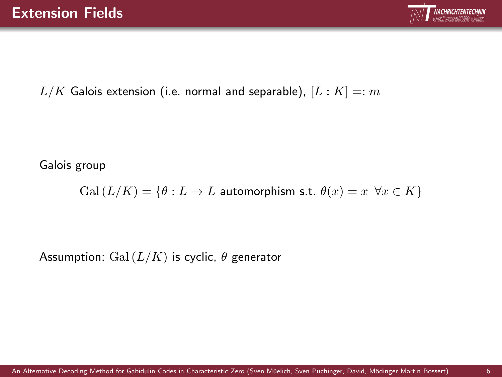<span id="page-3-0"></span>

 $L/K$  Galois extension (i.e. normal and separable),  $[L:K]=:m$ 

Galois group

 $Gal (L/K) = \{ \theta : L \to L \text{ automorphism s.t. } \theta(x) = x \ \forall x \in K \}$ 

Assumption: Gal  $(L/K)$  is cyclic,  $\theta$  generator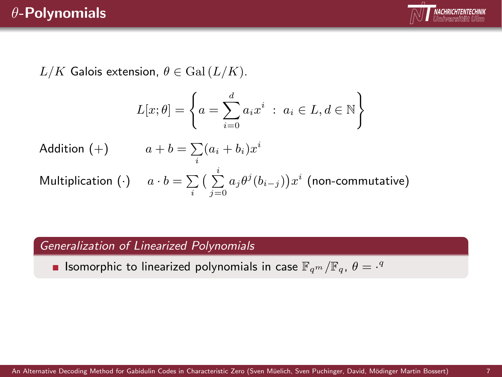## θ-Polynomials



 $L/K$  Galois extension,  $\theta \in \text{Gal}(L/K)$ .

$$
L[x; \theta] = \left\{ a = \sum_{i=0}^{d} a_i x^i \; : \; a_i \in L, d \in \mathbb{N} \right\}
$$

Addition (+)  $a+b = \sum_i (a_i + b_i)x^i$ Multiplication  $(\cdot)$  a  $\cdot$   $b = \sum\limits_i \big(\sum\limits_{j=0}^i a_j \theta^j(b_{i-j})\big) x^i$  (non-commutative)

#### Generalization of Linearized Polynomials

Isomorphic to linearized polynomials in case  $\mathbb{F}_{q^m}/\mathbb{F}_{q}$ ,  $\theta = \frac{q^q}{q^q}$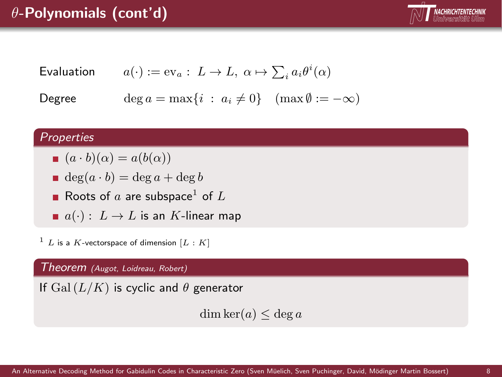# $\theta$ -Polynomials (cont'd)



$$
\text{Evaluation} \qquad a(\cdot) := \text{ev}_a: \ L \to L, \ \alpha \mapsto \sum_i a_i \theta^i(\alpha)
$$

Degree  $\deg a = \max\{i : a_i \neq 0\}$  (max  $\emptyset := -\infty$ )

#### **Properties**

- $(a \cdot b)(\alpha) = a(b(\alpha))$
- $deg(a \cdot b) = deg a + deg b$
- Roots of  $a$  are subspace<sup>1</sup> of  $L$
- $\blacksquare$   $a(\cdot): L \to L$  is an K-linear map

 $1 L$  is a K-vectorspace of dimension  $[L : K]$ 

Theorem (Augot, Loidreau, Robert)

If  $Gal(L/K)$  is cyclic and  $\theta$  generator

 $dim \ker(a) \leq deg a$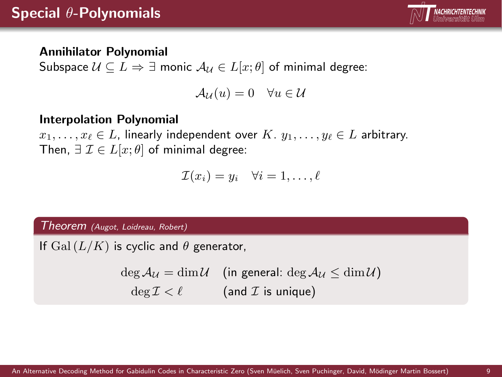

#### Annihilator Polynomial

Subspace  $U \subseteq L \Rightarrow \exists$  monic  $A_U \in L[x;\theta]$  of minimal degree:

$$
\mathcal{A}_{\mathcal{U}}(u) = 0 \quad \forall u \in \mathcal{U}
$$

#### Interpolation Polynomial

 $x_1, \ldots, x_\ell \in L$ , linearly independent over  $K, y_1, \ldots, y_\ell \in L$  arbitrary. Then,  $\exists \mathcal{I} \in L[x; \theta]$  of minimal degree:

$$
\mathcal{I}(x_i) = y_i \quad \forall i = 1, \dots, \ell
$$

Theorem (Augot, Loidreau, Robert)

If  $Gal(L/K)$  is cyclic and  $\theta$  generator,

 $\deg A_{\mathcal{U}} = \dim \mathcal{U}$  (in general:  $\deg A_{\mathcal{U}} \leq \dim \mathcal{U}$ )  $\deg \mathcal{I} < \ell$  (and *I* is unique)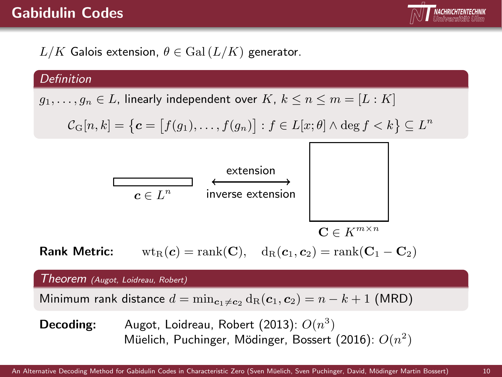### Gabidulin Codes



 $L/K$  Galois extension,  $\theta \in \text{Gal}(L/K)$  generator.

#### **Definition**

 $g_1, \ldots, g_n \in L$ , linearly independent over  $K, k \leq n \leq m = [L : K]$ 

$$
\mathcal{C}_{\mathrm{G}}[n,k] = \left\{ \boldsymbol{c} = \big[ f(g_1), \ldots, f(g_n) \big] : f \in L[x; \theta] \wedge \deg f < k \right\} \subseteq L^n
$$



Rank Metric:  $\text{wt}_R(c) = \text{rank}(\mathbf{C}), \quad d_R(c_1, c_2) = \text{rank}(\mathbf{C}_1 - \mathbf{C}_2)$ 

Theorem (Augot, Loidreau, Robert)

Minimum rank distance  $d = \min_{c_1 \neq c_2} d_R(c_1, c_2) = n - k + 1$  (MRD)

**Decoding:** Augot, Loidreau, Robert (2013):  $O(n^3)$ Müelich, Puchinger, Mödinger, Bossert (2016):  $O(n^2)$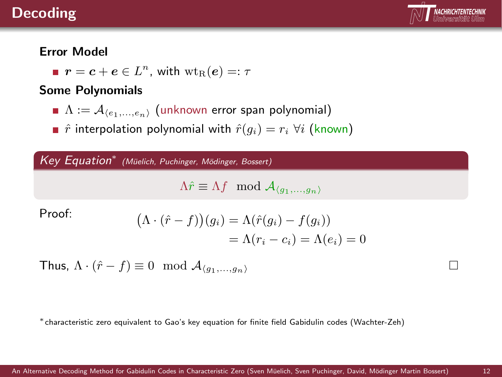### Decoding



#### Error Model

 $\bm{r}=\bm{c}+\bm{e}\in L^n$ , with  $\text{wt}_\text{R}(\bm{e})=:\tau$ 

#### Some Polynomials

- $\blacksquare$   $\Lambda := \mathcal{A}_{(e_1,...,e_n)}$  (unknown error span polynomial)
- **n**  $\hat{r}$  interpolation polynomial with  $\hat{r}(g_i) = r_i \ \forall i$  (known)

Key Equation<sup>\*</sup> (Müelich, Puchinger, Mödinger, Bossert)

<span id="page-8-0"></span> $\Lambda \hat{r} \equiv \Lambda f \mod \mathcal{A}_{\langle q_1,...,q_n \rangle}$ 

Proof:

$$
\begin{aligned} \Lambda \cdot (\hat{r} - f))(g_i) &= \Lambda(\hat{r}(g_i) - f(g_i)) \\ &= \Lambda(r_i - c_i) = \Lambda(e_i) = 0 \end{aligned}
$$

Thus, 
$$
\Lambda \cdot (\hat{r} - f) \equiv 0 \mod \mathcal{A}_{\langle g_1, \dots, g_n \rangle}
$$

<sup>∗</sup>characteristic zero equivalent to Gao's key equation for finite field Gabidulin codes (Wachter-Zeh)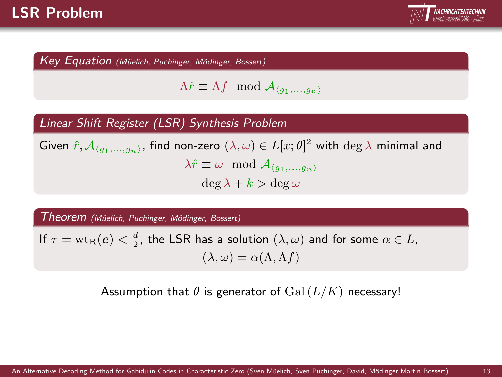

Key Equation (Müelich, Puchinger, Mödinger, Bossert)

$$
\Lambda \hat{r} \equiv \Lambda f \mod \mathcal{A}_{\langle g_1,...,g_n \rangle}
$$

#### Linear Shift Register (LSR) Synthesis Problem

Given  $\hat{r}, \mathcal{A}_{\langle g_1,...,g_n\rangle}$ , find non-zero  $(\lambda,\omega)\in L[x;\theta]^2$  with  $\deg\lambda$  minimal and  $\lambda \hat{r} \equiv \omega \mod A_{\langle q_1,...,q_n\rangle}$  $\deg \lambda + k > \deg \omega$ 

Theorem (Müelich, Puchinger, Mödinger, Bossert)

If  $\tau = \text{wt}_{\text{R}}(e) < \frac{d}{2}$ , the LSR has a solution  $(\lambda, \omega)$  and for some  $\alpha \in L$ ,  $(\lambda, \omega) = \alpha(\Lambda, \Lambda f)$ 

Assumption that  $\theta$  is generator of  $Gal(L/K)$  necessary!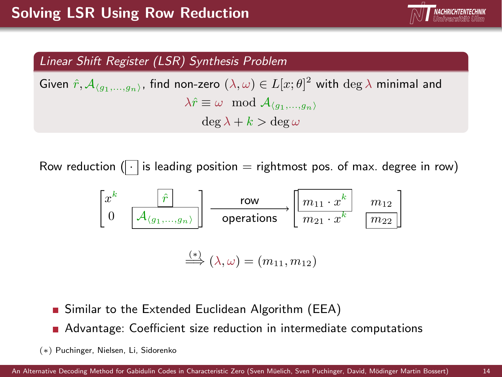

#### Linear Shift Register (LSR) Synthesis Problem

Given  $\hat{r}, \mathcal{A}_{\langle g_1,...,g_n\rangle}$ , find non-zero  $(\lambda,\omega)\in L[x;\theta]^2$  with  $\deg\lambda$  minimal and  $\lambda \hat{r} \equiv \omega \mod A_{(q_1,...,q_n)}$  $\deg \lambda + k > \deg \omega$ 

Row reduction ( $\lceil \cdot \rceil$  is leading position = rightmost pos. of max. degree in row)



- Similar to the Extended Euclidean Algorithm (EEA)
- Advantage: Coefficient size reduction in intermediate computations
- (∗) Puchinger, Nielsen, Li, Sidorenko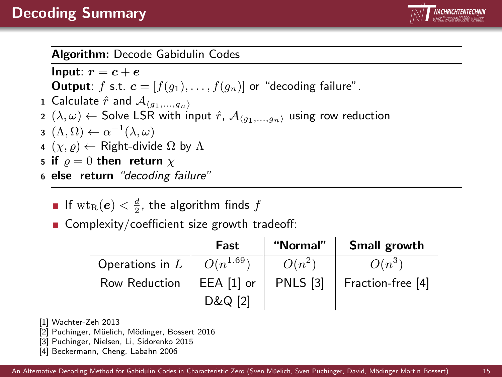

#### Algorithm: Decode Gabidulin Codes

Input:  $r = c + e$ **Output**: f s.t.  $\mathbf{c} = [f(q_1), \ldots, f(q_n)]$  or "decoding failure". 1 Calculate  $\hat{r}$  and  $\mathcal{A}_{\langle q_1,...,q_n\rangle}$ 2  $(\lambda, \omega) \leftarrow$  Solve LSR with input  $\hat{r}$ ,  $\mathcal{A}_{(q_1,...,q_n)}$  using row reduction з  $(\Lambda,\Omega) \leftarrow \alpha^{-1}(\lambda,\omega)$ 4  $(\chi, \rho) \leftarrow$  Right-divide  $\Omega$  by  $\Lambda$ 5 if  $\rho = 0$  then return  $\chi$ <sup>6</sup> else return "decoding failure"

- If  $\text{wt}_\text{R}(\bm{e}) < \frac{d}{2}$ , the algorithm finds  $f$
- Complexity/coefficient size growth tradeoff:

|                   | Fast          | "Normal"        | Small growth      |
|-------------------|---------------|-----------------|-------------------|
| Operations in $L$ | $O(n^{1.69})$ | $O(n^2)$        | $O(n^3)$          |
| Row Reduction     | $EEA [1]$ or  | <b>PNLS</b> [3] | Fraction-free [4] |
|                   | D&Q [2]       |                 |                   |

- [1] Wachter-Zeh 2013
- [2] Puchinger, Müelich, Mödinger, Bossert 2016
- [3] Puchinger, Nielsen, Li, Sidorenko 2015
- [4] Beckermann, Cheng, Labahn 2006